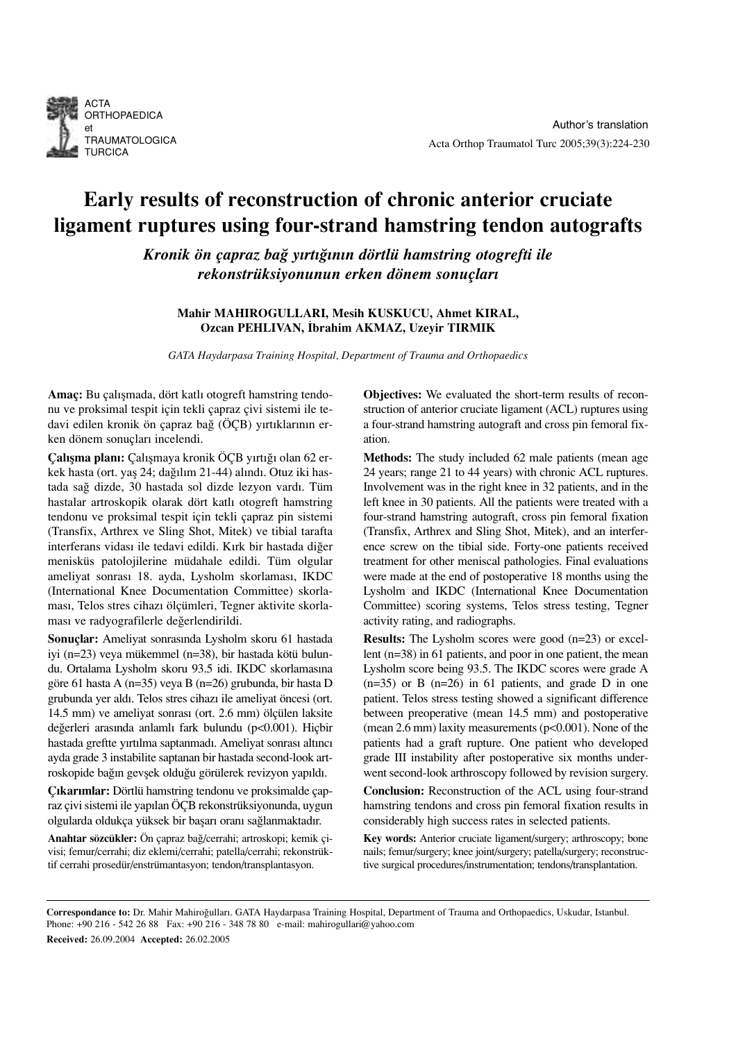

# Early results of reconstruction of chronic anterior cruciate ligament ruptures using four-strand hamstring tendon autografts

Kronik ön çapraz bağ yırtığının dörtlü hamstring otogrefti ile rekonstrüksiyonunun erken dönem sonuçları

# Mahir MAHIROGULLARI, Mesih KUSKUCU, Ahmet KIRAL, Ozcan PEHLIVAN, İbrahim AKMAZ, Uzeyir TIRMIK

GATA Haydarpasa Training Hospital, Department of Trauma and Orthopaedics

Amaç: Bu çalışmada, dört katlı otogreft hamstring tendonu ve proksimal tespit için tekli çapraz çivi sistemi ile tedavi edilen kronik ön çapraz bağ (ÖÇB) yırtıklarının erken dönem sonuçları incelendi.

Calısma planı: Calısmaya kronik ÖCB yırtığı olan 62 erkek hasta (ort. yaş 24; dağılım 21-44) alındı. Otuz iki hastada sağ dizde, 30 hastada sol dizde lezyon vardı. Tüm hastalar artroskopik olarak dört katlı otogreft hamstring tendonu ve proksimal tespit için tekli çapraz pin sistemi (Transfix, Arthrex ve Sling Shot, Mitek) ve tibial tarafta interferans vidası ile tedavi edildi. Kırk bir hastada diğer menisküs patolojilerine müdahale edildi. Tüm olgular ameliyat sonrası 18. ayda, Lysholm skorlaması, IKDC (International Knee Documentation Committee) skorlaması, Telos stres cihazı ölçümleri, Tegner aktivite skorlaması ve radyografilerle değerlendirildi.

Sonuçlar: Ameliyat sonrasında Lysholm skoru 61 hastada iyi (n=23) veya mükemmel (n=38), bir hastada kötü bulundu. Ortalama Lysholm skoru 93.5 idi. IKDC skorlamasına göre 61 hasta A (n=35) veya B (n=26) grubunda, bir hasta D grubunda yer aldı. Telos stres cihazı ile ameliyat öncesi (ort. 14.5 mm) ve ameliyat sonrası (ort. 2.6 mm) ölçülen laksite değerleri arasında anlamlı fark bulundu (p<0.001). Hiçbir hastada greftte yırtılma saptanmadı. Ameliyat sonrası altıncı ayda grade 3 instabilite saptanan bir hastada second-look artroskopide bağın gevşek olduğu görülerek revizyon yapıldı.

Çıkarımlar: Dörtlü hamstring tendonu ve proksimalde çapraz çivi sistemi ile yapılan ÖÇB rekonstrüksiyonunda, uygun olgularda oldukça yüksek bir başarı oranı sağlanmaktadır.

Anahtar sözcükler: Ön çapraz ba¤/cerrahi; artroskopi; kemik çivisi; femur/cerrahi; diz eklemi/cerrahi; patella/cerrahi; rekonstrüktif cerrahi prosedür/enstrümantasyon; tendon/transplantasyon.

Objectives: We evaluated the short-term results of reconstruction of anterior cruciate ligament (ACL) ruptures using a four-strand hamstring autograft and cross pin femoral fixation.

Methods: The study included 62 male patients (mean age 24 years; range 21 to 44 years) with chronic ACL ruptures. Involvement was in the right knee in 32 patients, and in the left knee in 30 patients. All the patients were treated with a four-strand hamstring autograft, cross pin femoral fixation (Transfix, Arthrex and Sling Shot, Mitek), and an interference screw on the tibial side. Forty-one patients received treatment for other meniscal pathologies. Final evaluations were made at the end of postoperative 18 months using the Lysholm and IKDC (International Knee Documentation Committee) scoring systems, Telos stress testing, Tegner activity rating, and radiographs.

Results: The Lysholm scores were good (n=23) or excellent (n=38) in 61 patients, and poor in one patient, the mean Lysholm score being 93.5. The IKDC scores were grade A  $(n=35)$  or B  $(n=26)$  in 61 patients, and grade D in one patient. Telos stress testing showed a significant difference between preoperative (mean 14.5 mm) and postoperative (mean 2.6 mm) laxity measurements  $(p<0.001)$ . None of the patients had a graft rupture. One patient who developed grade III instability after postoperative six months underwent second-look arthroscopy followed by revision surgery.

Conclusion: Reconstruction of the ACL using four-strand hamstring tendons and cross pin femoral fixation results in considerably high success rates in selected patients.

Key words: Anterior cruciate ligament/surgery; arthroscopy; bone nails; femur/surgery; knee joint/surgery; patella/surgery; reconstructive surgical procedures/instrumentation; tendons/transplantation.

Correspondance to: Dr. Mahir Mahiroğulları. GATA Haydarpasa Training Hospital, Department of Trauma and Orthopaedics, Uskudar, Istanbul. Phone: +90 216 - 542 26 88 Fax: +90 216 - 348 78 80 e-mail: mahirogullari@yahoo.com Received: 26.09.2004 Accepted: 26.02.2005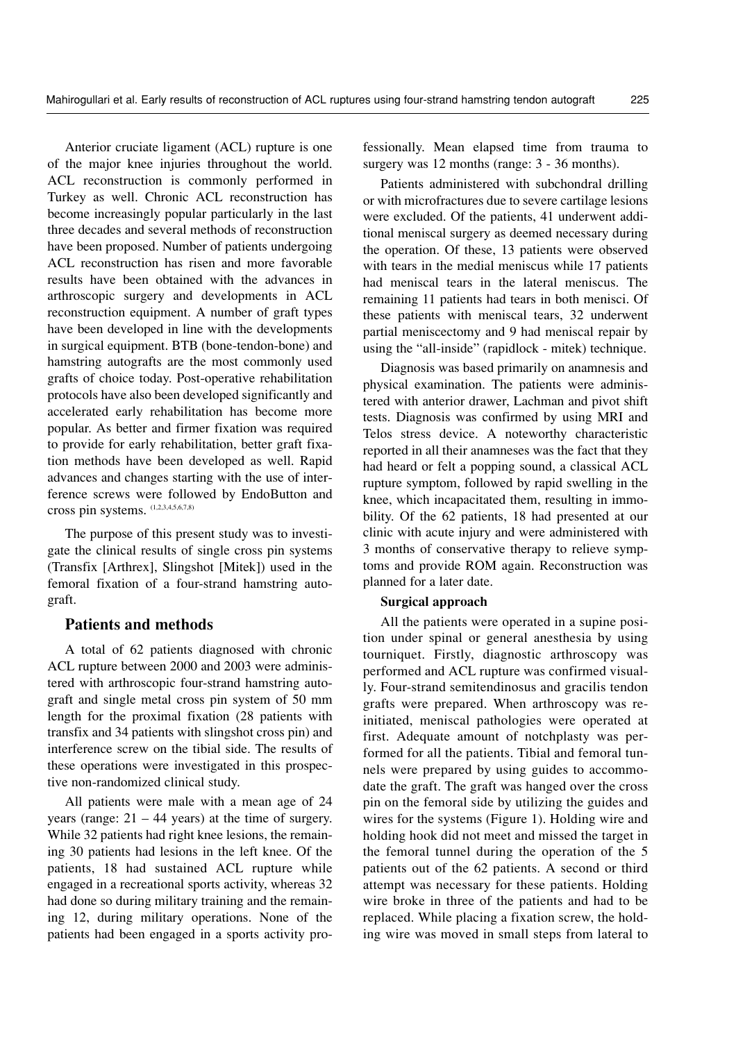Anterior cruciate ligament (ACL) rupture is one of the major knee injuries throughout the world. ACL reconstruction is commonly performed in Turkey as well. Chronic ACL reconstruction has become increasingly popular particularly in the last three decades and several methods of reconstruction have been proposed. Number of patients undergoing ACL reconstruction has risen and more favorable results have been obtained with the advances in arthroscopic surgery and developments in ACL reconstruction equipment. A number of graft types have been developed in line with the developments in surgical equipment. BTB (bone-tendon-bone) and hamstring autografts are the most commonly used grafts of choice today. Post-operative rehabilitation protocols have also been developed significantly and accelerated early rehabilitation has become more popular. As better and firmer fixation was required to provide for early rehabilitation, better graft fixation methods have been developed as well. Rapid advances and changes starting with the use of interference screws were followed by EndoButton and cross pin systems. (1,2,3,4,5,6,7,8)

The purpose of this present study was to investigate the clinical results of single cross pin systems (Transfix [Arthrex], Slingshot [Mitek]) used in the femoral fixation of a four-strand hamstring autograft.

## Patients and methods

A total of 62 patients diagnosed with chronic ACL rupture between 2000 and 2003 were administered with arthroscopic four-strand hamstring autograft and single metal cross pin system of 50 mm length for the proximal fixation (28 patients with transfix and 34 patients with slingshot cross pin) and interference screw on the tibial side. The results of these operations were investigated in this prospective non-randomized clinical study.

All patients were male with a mean age of 24 years (range:  $21 - 44$  years) at the time of surgery. While 32 patients had right knee lesions, the remaining 30 patients had lesions in the left knee. Of the patients, 18 had sustained ACL rupture while engaged in a recreational sports activity, whereas 32 had done so during military training and the remaining 12, during military operations. None of the patients had been engaged in a sports activity professionally. Mean elapsed time from trauma to surgery was 12 months (range:  $3 - 36$  months).

Patients administered with subchondral drilling or with microfractures due to severe cartilage lesions were excluded. Of the patients, 41 underwent additional meniscal surgery as deemed necessary during the operation. Of these, 13 patients were observed with tears in the medial meniscus while 17 patients had meniscal tears in the lateral meniscus. The remaining 11 patients had tears in both menisci. Of these patients with meniscal tears, 32 underwent partial meniscectomy and 9 had meniscal repair by using the "all-inside" (rapidlock - mitek) technique.

Diagnosis was based primarily on anamnesis and physical examination. The patients were administered with anterior drawer, Lachman and pivot shift tests. Diagnosis was confirmed by using MRI and Telos stress device. A noteworthy characteristic reported in all their anamneses was the fact that they had heard or felt a popping sound, a classical ACL rupture symptom, followed by rapid swelling in the knee, which incapacitated them, resulting in immobility. Of the 62 patients, 18 had presented at our clinic with acute injury and were administered with 3 months of conservative therapy to relieve symptoms and provide ROM again. Reconstruction was planned for a later date.

#### Surgical approach

All the patients were operated in a supine position under spinal or general anesthesia by using tourniquet. Firstly, diagnostic arthroscopy was performed and ACL rupture was confirmed visually. Four-strand semitendinosus and gracilis tendon grafts were prepared. When arthroscopy was reinitiated, meniscal pathologies were operated at first. Adequate amount of notchplasty was performed for all the patients. Tibial and femoral tunnels were prepared by using guides to accommodate the graft. The graft was hanged over the cross pin on the femoral side by utilizing the guides and wires for the systems (Figure 1). Holding wire and holding hook did not meet and missed the target in the femoral tunnel during the operation of the 5 patients out of the 62 patients. A second or third attempt was necessary for these patients. Holding wire broke in three of the patients and had to be replaced. While placing a fixation screw, the holding wire was moved in small steps from lateral to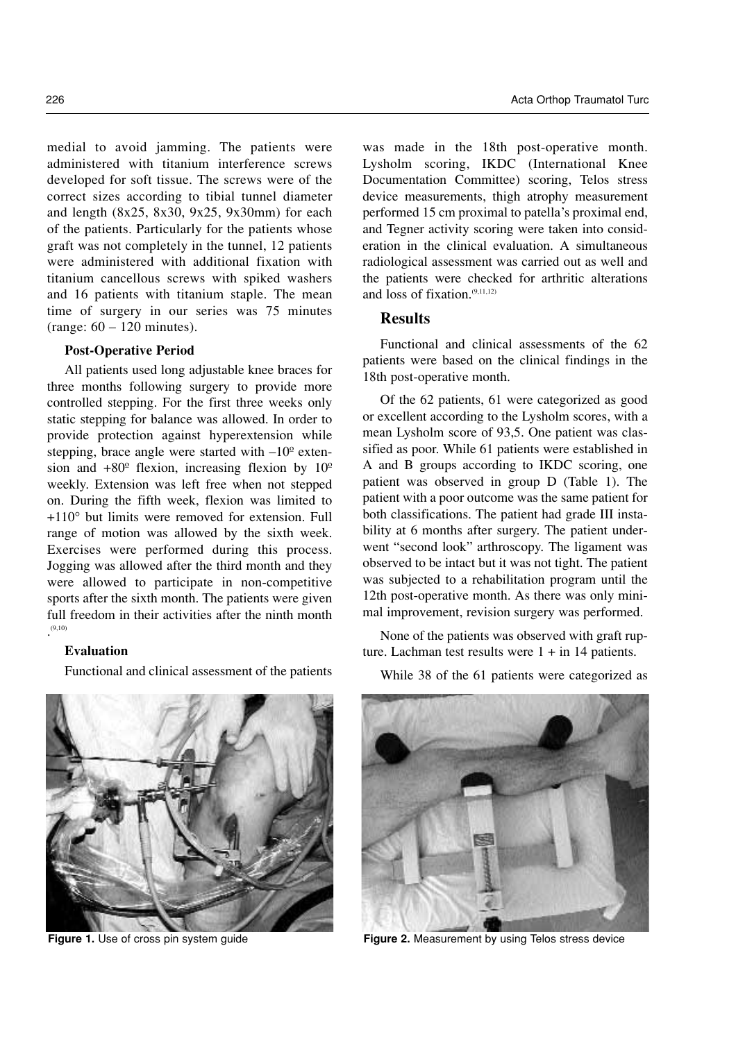medial to avoid jamming. The patients were administered with titanium interference screws developed for soft tissue. The screws were of the correct sizes according to tibial tunnel diameter and length (8x25, 8x30, 9x25, 9x30mm) for each of the patients. Particularly for the patients whose graft was not completely in the tunnel, 12 patients were administered with additional fixation with titanium cancellous screws with spiked washers and 16 patients with titanium staple. The mean time of surgery in our series was 75 minutes

#### Post-Operative Period

(range: 60 – 120 minutes).

All patients used long adjustable knee braces for three months following surgery to provide more controlled stepping. For the first three weeks only static stepping for balance was allowed. In order to provide protection against hyperextension while stepping, brace angle were started with  $-10^{\circ}$  extension and  $+80^\circ$  flexion, increasing flexion by  $10^\circ$ weekly. Extension was left free when not stepped on. During the fifth week, flexion was limited to +110° but limits were removed for extension. Full range of motion was allowed by the sixth week. Exercises were performed during this process. Jogging was allowed after the third month and they were allowed to participate in non-competitive sports after the sixth month. The patients were given full freedom in their activities after the ninth month  $(9,10)$ 

## Evaluation

Functional and clinical assessment of the patients

was made in the 18th post-operative month. Lysholm scoring, IKDC (International Knee Documentation Committee) scoring, Telos stress device measurements, thigh atrophy measurement performed 15 cm proximal to patella's proximal end, and Tegner activity scoring were taken into consideration in the clinical evaluation. A simultaneous radiological assessment was carried out as well and the patients were checked for arthritic alterations and loss of fixation. $(9,11,12)$ 

# Results

Functional and clinical assessments of the 62 patients were based on the clinical findings in the 18th post-operative month.

Of the 62 patients, 61 were categorized as good or excellent according to the Lysholm scores, with a mean Lysholm score of 93,5. One patient was classified as poor. While 61 patients were established in A and B groups according to IKDC scoring, one patient was observed in group D (Table 1). The patient with a poor outcome was the same patient for both classifications. The patient had grade III instability at 6 months after surgery. The patient underwent "second look" arthroscopy. The ligament was observed to be intact but it was not tight. The patient was subjected to a rehabilitation program until the 12th post-operative month. As there was only minimal improvement, revision surgery was performed.

None of the patients was observed with graft rupture. Lachman test results were  $1 + in 14$  patients.

While 38 of the 61 patients were categorized as



Figure 1. Use of cross pin system guide Figure 2. Measurement by using Telos stress device

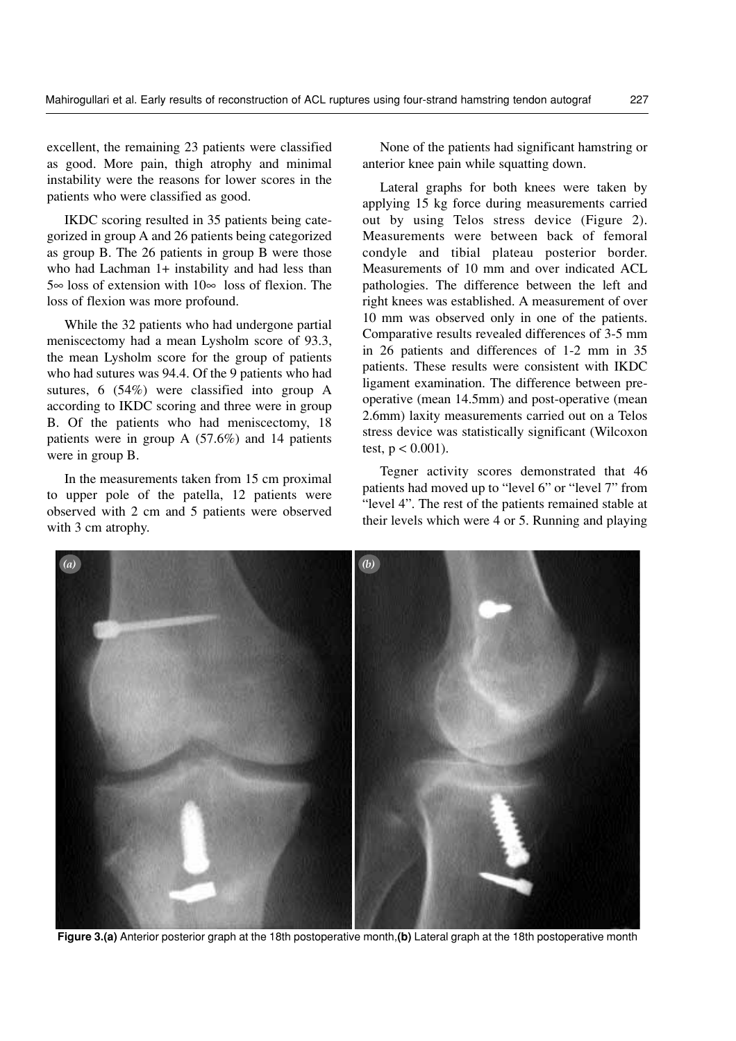excellent, the remaining 23 patients were classified as good. More pain, thigh atrophy and minimal instability were the reasons for lower scores in the patients who were classified as good.

IKDC scoring resulted in 35 patients being categorized in group A and 26 patients being categorized as group B. The 26 patients in group B were those who had Lachman 1+ instability and had less than 5∞ loss of extension with 10∞ loss of flexion. The loss of flexion was more profound.

While the 32 patients who had undergone partial meniscectomy had a mean Lysholm score of 93.3, the mean Lysholm score for the group of patients who had sutures was 94.4. Of the 9 patients who had sutures, 6 (54%) were classified into group A according to IKDC scoring and three were in group B. Of the patients who had meniscectomy, 18 patients were in group A (57.6%) and 14 patients were in group B.

In the measurements taken from 15 cm proximal to upper pole of the patella, 12 patients were observed with 2 cm and 5 patients were observed with 3 cm atrophy.

None of the patients had significant hamstring or anterior knee pain while squatting down.

Lateral graphs for both knees were taken by applying 15 kg force during measurements carried out by using Telos stress device (Figure 2). Measurements were between back of femoral condyle and tibial plateau posterior border. Measurements of 10 mm and over indicated ACL pathologies. The difference between the left and right knees was established. A measurement of over 10 mm was observed only in one of the patients. Comparative results revealed differences of 3-5 mm in 26 patients and differences of 1-2 mm in 35 patients. These results were consistent with IKDC ligament examination. The difference between preoperative (mean 14.5mm) and post-operative (mean 2.6mm) laxity measurements carried out on a Telos stress device was statistically significant (Wilcoxon test,  $p < 0.001$ ).

Tegner activity scores demonstrated that 46 patients had moved up to "level 6" or "level 7" from "level 4". The rest of the patients remained stable at their levels which were 4 or 5. Running and playing

(a)  $\qquad \qquad (b)$ 

Figure 3.(a) Anterior posterior graph at the 18th postoperative month,(b) Lateral graph at the 18th postoperative month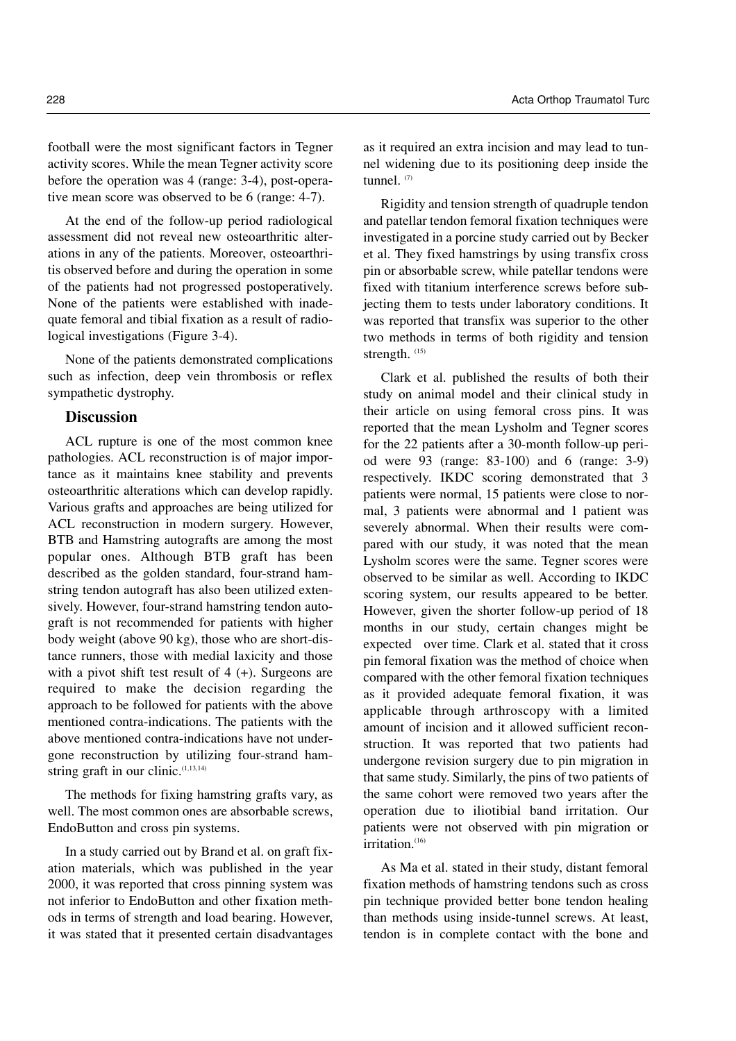football were the most significant factors in Tegner activity scores. While the mean Tegner activity score before the operation was 4 (range: 3-4), post-operative mean score was observed to be 6 (range: 4-7).

At the end of the follow-up period radiological assessment did not reveal new osteoarthritic alterations in any of the patients. Moreover, osteoarthritis observed before and during the operation in some of the patients had not progressed postoperatively. None of the patients were established with inadequate femoral and tibial fixation as a result of radiological investigations (Figure 3-4).

None of the patients demonstrated complications such as infection, deep vein thrombosis or reflex sympathetic dystrophy.

# **Discussion**

ACL rupture is one of the most common knee pathologies. ACL reconstruction is of major importance as it maintains knee stability and prevents osteoarthritic alterations which can develop rapidly. Various grafts and approaches are being utilized for ACL reconstruction in modern surgery. However, BTB and Hamstring autografts are among the most popular ones. Although BTB graft has been described as the golden standard, four-strand hamstring tendon autograft has also been utilized extensively. However, four-strand hamstring tendon autograft is not recommended for patients with higher body weight (above 90 kg), those who are short-distance runners, those with medial laxicity and those with a pivot shift test result of  $4 (+)$ . Surgeons are required to make the decision regarding the approach to be followed for patients with the above mentioned contra-indications. The patients with the above mentioned contra-indications have not undergone reconstruction by utilizing four-strand hamstring graft in our clinic. $(1,13,14)$ 

The methods for fixing hamstring grafts vary, as well. The most common ones are absorbable screws, EndoButton and cross pin systems.

In a study carried out by Brand et al. on graft fixation materials, which was published in the year 2000, it was reported that cross pinning system was not inferior to EndoButton and other fixation methods in terms of strength and load bearing. However, it was stated that it presented certain disadvantages as it required an extra incision and may lead to tunnel widening due to its positioning deep inside the tunnel.  $(7)$ 

Rigidity and tension strength of quadruple tendon and patellar tendon femoral fixation techniques were investigated in a porcine study carried out by Becker et al. They fixed hamstrings by using transfix cross pin or absorbable screw, while patellar tendons were fixed with titanium interference screws before subjecting them to tests under laboratory conditions. It was reported that transfix was superior to the other two methods in terms of both rigidity and tension strength.  $(15)$ 

Clark et al. published the results of both their study on animal model and their clinical study in their article on using femoral cross pins. It was reported that the mean Lysholm and Tegner scores for the 22 patients after a 30-month follow-up period were 93 (range: 83-100) and 6 (range: 3-9) respectively. IKDC scoring demonstrated that 3 patients were normal, 15 patients were close to normal, 3 patients were abnormal and 1 patient was severely abnormal. When their results were compared with our study, it was noted that the mean Lysholm scores were the same. Tegner scores were observed to be similar as well. According to IKDC scoring system, our results appeared to be better. However, given the shorter follow-up period of 18 months in our study, certain changes might be expected over time. Clark et al. stated that it cross pin femoral fixation was the method of choice when compared with the other femoral fixation techniques as it provided adequate femoral fixation, it was applicable through arthroscopy with a limited amount of incision and it allowed sufficient reconstruction. It was reported that two patients had undergone revision surgery due to pin migration in that same study. Similarly, the pins of two patients of the same cohort were removed two years after the operation due to iliotibial band irritation. Our patients were not observed with pin migration or  $irritation.<sup>(16)</sup>$ 

As Ma et al. stated in their study, distant femoral fixation methods of hamstring tendons such as cross pin technique provided better bone tendon healing than methods using inside-tunnel screws. At least, tendon is in complete contact with the bone and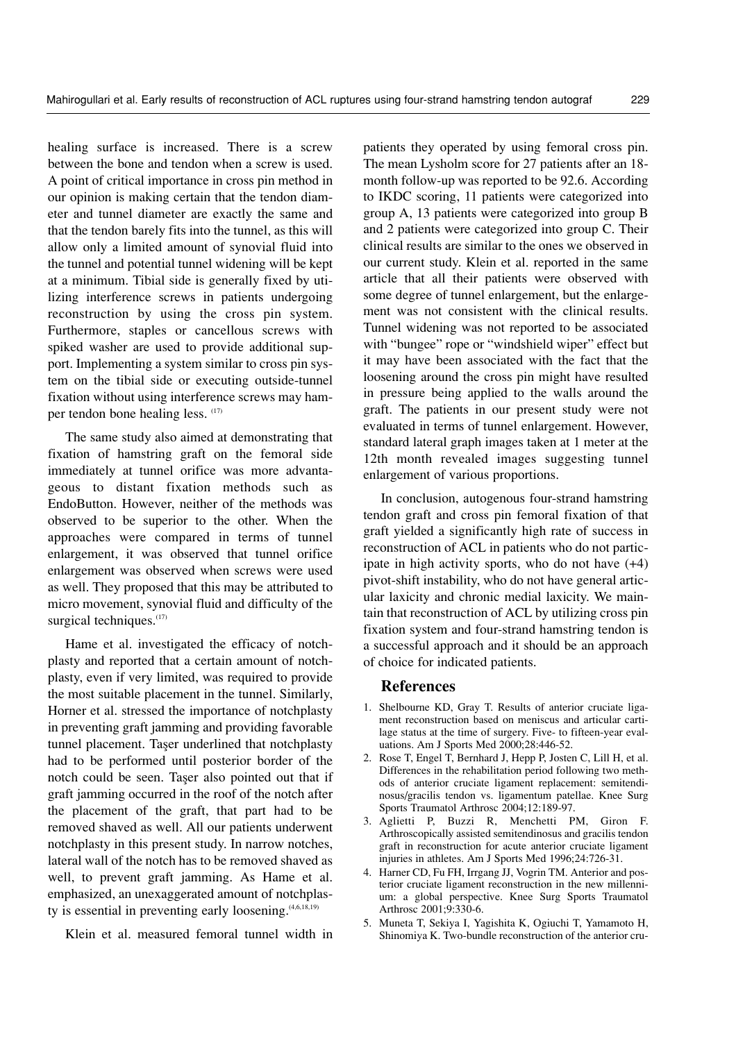healing surface is increased. There is a screw between the bone and tendon when a screw is used. A point of critical importance in cross pin method in our opinion is making certain that the tendon diameter and tunnel diameter are exactly the same and that the tendon barely fits into the tunnel, as this will allow only a limited amount of synovial fluid into the tunnel and potential tunnel widening will be kept at a minimum. Tibial side is generally fixed by utilizing interference screws in patients undergoing reconstruction by using the cross pin system. Furthermore, staples or cancellous screws with spiked washer are used to provide additional support. Implementing a system similar to cross pin system on the tibial side or executing outside-tunnel fixation without using interference screws may hamper tendon bone healing less. (17)

The same study also aimed at demonstrating that fixation of hamstring graft on the femoral side immediately at tunnel orifice was more advantageous to distant fixation methods such as EndoButton. However, neither of the methods was observed to be superior to the other. When the approaches were compared in terms of tunnel enlargement, it was observed that tunnel orifice enlargement was observed when screws were used as well. They proposed that this may be attributed to micro movement, synovial fluid and difficulty of the surgical techniques. $(17)$ 

Hame et al. investigated the efficacy of notchplasty and reported that a certain amount of notchplasty, even if very limited, was required to provide the most suitable placement in the tunnel. Similarly, Horner et al. stressed the importance of notchplasty in preventing graft jamming and providing favorable tunnel placement. Taser underlined that notchplasty had to be performed until posterior border of the notch could be seen. Taser also pointed out that if graft jamming occurred in the roof of the notch after the placement of the graft, that part had to be removed shaved as well. All our patients underwent notchplasty in this present study. In narrow notches, lateral wall of the notch has to be removed shaved as well, to prevent graft jamming. As Hame et al. emphasized, an unexaggerated amount of notchplasty is essential in preventing early loosening. $(4,6,18,19)$ 

Klein et al. measured femoral tunnel width in

patients they operated by using femoral cross pin. The mean Lysholm score for 27 patients after an 18 month follow-up was reported to be 92.6. According to IKDC scoring, 11 patients were categorized into group A, 13 patients were categorized into group B and 2 patients were categorized into group C. Their clinical results are similar to the ones we observed in our current study. Klein et al. reported in the same article that all their patients were observed with some degree of tunnel enlargement, but the enlargement was not consistent with the clinical results. Tunnel widening was not reported to be associated with "bungee" rope or "windshield wiper" effect but it may have been associated with the fact that the loosening around the cross pin might have resulted in pressure being applied to the walls around the graft. The patients in our present study were not evaluated in terms of tunnel enlargement. However, standard lateral graph images taken at 1 meter at the 12th month revealed images suggesting tunnel enlargement of various proportions.

In conclusion, autogenous four-strand hamstring tendon graft and cross pin femoral fixation of that graft yielded a significantly high rate of success in reconstruction of ACL in patients who do not participate in high activity sports, who do not have (+4) pivot-shift instability, who do not have general articular laxicity and chronic medial laxicity. We maintain that reconstruction of ACL by utilizing cross pin fixation system and four-strand hamstring tendon is a successful approach and it should be an approach of choice for indicated patients.

## References

- 1. Shelbourne KD, Gray T. Results of anterior cruciate ligament reconstruction based on meniscus and articular cartilage status at the time of surgery. Five- to fifteen-year evaluations. Am J Sports Med 2000;28:446-52.
- 2. Rose T, Engel T, Bernhard J, Hepp P, Josten C, Lill H, et al. Differences in the rehabilitation period following two methods of anterior cruciate ligament replacement: semitendinosus/gracilis tendon vs. ligamentum patellae. Knee Surg Sports Traumatol Arthrosc 2004;12:189-97.
- 3. Aglietti P, Buzzi R, Menchetti PM, Giron F. Arthroscopically assisted semitendinosus and gracilis tendon graft in reconstruction for acute anterior cruciate ligament injuries in athletes. Am J Sports Med 1996;24:726-31.
- 4. Harner CD, Fu FH, Irrgang JJ, Vogrin TM. Anterior and posterior cruciate ligament reconstruction in the new millennium: a global perspective. Knee Surg Sports Traumatol Arthrosc 2001;9:330-6.
- 5. Muneta T, Sekiya I, Yagishita K, Ogiuchi T, Yamamoto H, Shinomiya K. Two-bundle reconstruction of the anterior cru-